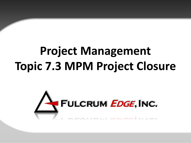# **Project Management Topic 7.3 MPM Project Closure**

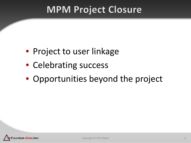### **MPM Project Closure**

- Project to user linkage
- Celebrating success
- Opportunities beyond the project

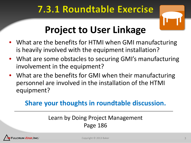### 7.3.1 Roundtable Exercise



## **Project to User Linkage**

- What are the benefits for HTMI when GMI manufacturing is heavily involved with the equipment installation?
- What are some obstacles to securing GMI's manufacturing involvement in the equipment?
- What are the benefits for GMI when their manufacturing personnel are involved in the installation of the HTMI equipment?

#### **Share your thoughts in roundtable discussion.**

#### Learn by Doing Project Management Page 186

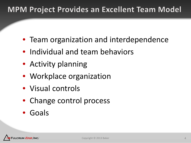#### **MPM Project Provides an Excellent Team Model**

- Team organization and interdependence
- Individual and team behaviors
- Activity planning
- Workplace organization
- Visual controls
- Change control process
- Goals

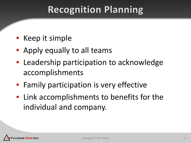### **Recognition Planning**

- Keep it simple
- Apply equally to all teams
- Leadership participation to acknowledge accomplishments
- Family participation is very effective
- Link accomplishments to benefits for the individual and company.

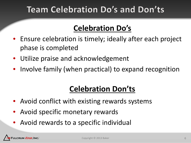### **Team Celebration Do's and Don'ts**

#### **Celebration Do's**

- Ensure celebration is timely; ideally after each project phase is completed
- Utilize praise and acknowledgement
- Involve family (when practical) to expand recognition

### **Celebration Don'ts**

- Avoid conflict with existing rewards systems
- Avoid specific monetary rewards
- Avoid rewards to a specific individual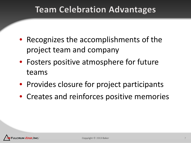#### **Team Celebration Advantages**

- Recognizes the accomplishments of the project team and company
- Fosters positive atmosphere for future teams
- Provides closure for project participants
- Creates and reinforces positive memories

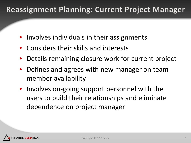#### **Reassignment Planning: Current Project Manager**

- Involves individuals in their assignments
- Considers their skills and interests
- Details remaining closure work for current project
- Defines and agrees with new manager on team member availability
- Involves on-going support personnel with the users to build their relationships and eliminate dependence on project manager

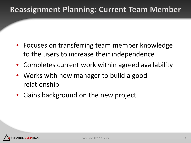#### **Reassignment Planning: Current Team Member**

- Focuses on transferring team member knowledge to the users to increase their independence
- Completes current work within agreed availability
- Works with new manager to build a good relationship
- Gains background on the new project

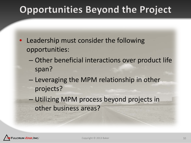## **Opportunities Beyond the Project**

- Leadership must consider the following opportunities:
	- Other beneficial interactions over product life span?
	- Leveraging the MPM relationship in other projects?
	- Utilizing MPM process beyond projects in other business areas?